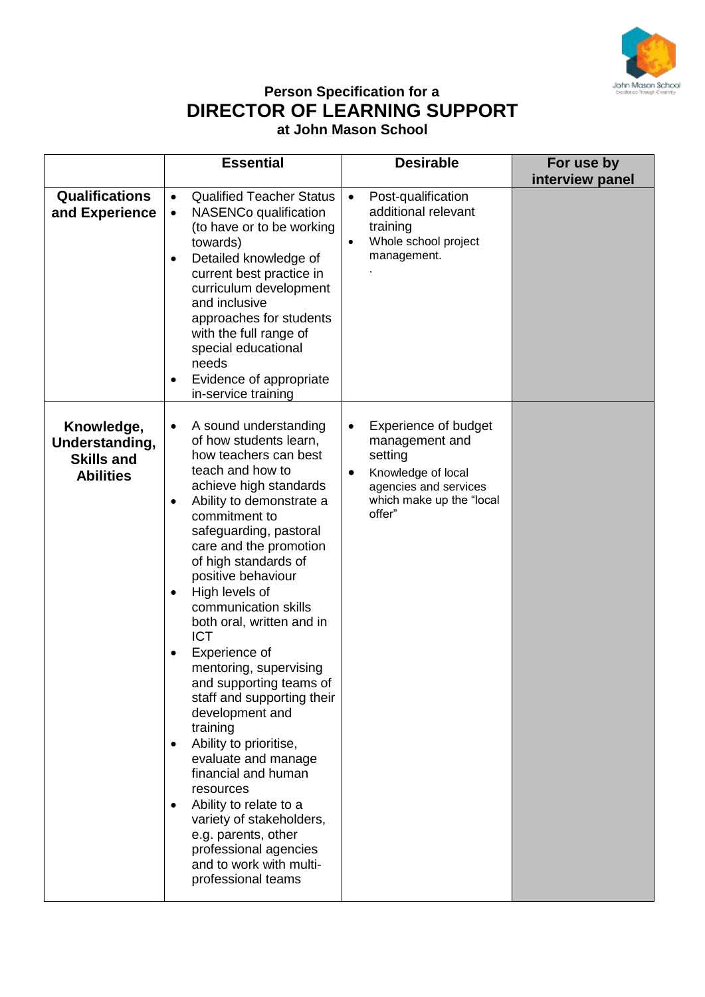

## **Person Specification for a DIRECTOR OF LEARNING SUPPORT at John Mason School**

|                                                                       | <b>Essential</b>                                                                                                                                                                                                                                                                                                                                                                                                                                                                                                                                                                                                                                                                                                                                                                                           | <b>Desirable</b>                                                                                                                                                        | For use by<br>interview panel |
|-----------------------------------------------------------------------|------------------------------------------------------------------------------------------------------------------------------------------------------------------------------------------------------------------------------------------------------------------------------------------------------------------------------------------------------------------------------------------------------------------------------------------------------------------------------------------------------------------------------------------------------------------------------------------------------------------------------------------------------------------------------------------------------------------------------------------------------------------------------------------------------------|-------------------------------------------------------------------------------------------------------------------------------------------------------------------------|-------------------------------|
| <b>Qualifications</b><br>and Experience                               | <b>Qualified Teacher Status</b><br>$\bullet$<br>NASENCo qualification<br>$\bullet$<br>(to have or to be working<br>towards)<br>Detailed knowledge of<br>$\bullet$<br>current best practice in<br>curriculum development<br>and inclusive<br>approaches for students<br>with the full range of<br>special educational<br>needs<br>Evidence of appropriate<br>in-service training                                                                                                                                                                                                                                                                                                                                                                                                                            | Post-qualification<br>$\bullet$<br>additional relevant<br>training<br>Whole school project<br>$\bullet$<br>management.                                                  |                               |
| Knowledge,<br>Understanding,<br><b>Skills and</b><br><b>Abilities</b> | A sound understanding<br>$\bullet$<br>of how students learn,<br>how teachers can best<br>teach and how to<br>achieve high standards<br>Ability to demonstrate a<br>$\bullet$<br>commitment to<br>safeguarding, pastoral<br>care and the promotion<br>of high standards of<br>positive behaviour<br>High levels of<br>$\bullet$<br>communication skills<br>both oral, written and in<br><b>ICT</b><br>Experience of<br>$\bullet$<br>mentoring, supervising<br>and supporting teams of<br>staff and supporting their<br>development and<br>training<br>Ability to prioritise,<br>$\bullet$<br>evaluate and manage<br>financial and human<br>resources<br>Ability to relate to a<br>variety of stakeholders,<br>e.g. parents, other<br>professional agencies<br>and to work with multi-<br>professional teams | <b>Experience of budget</b><br>$\bullet$<br>management and<br>setting<br>Knowledge of local<br>$\bullet$<br>agencies and services<br>which make up the "local<br>offer" |                               |